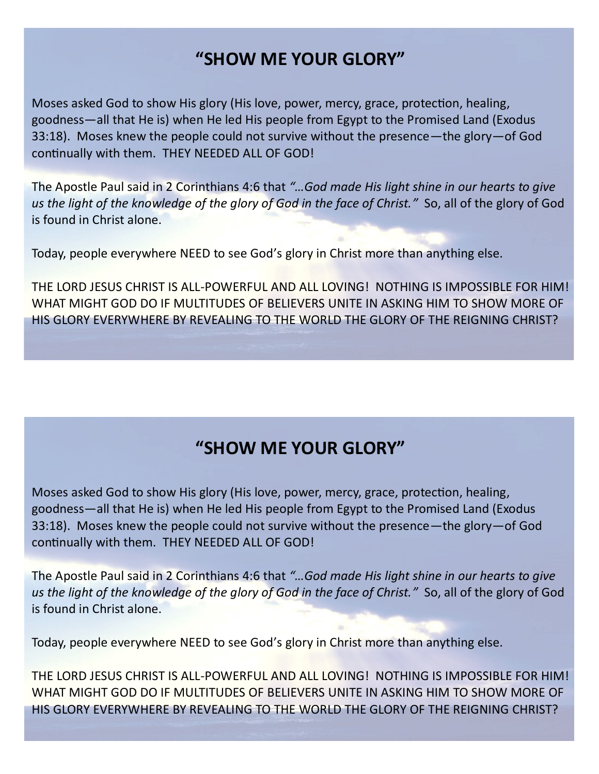# **"SHOW ME YOUR GLORY"**

Moses asked God to show His glory (His love, power, mercy, grace, protection, healing, goodness—all that He is) when He led His people from Egypt to the Promised Land (Exodus 33:18). Moses knew the people could not survive without the presence—the glory—of God continually with them. THEY NEEDED ALL OF GOD!

The Apostle Paul said in 2 Corinthians 4:6 that *"…God made His light shine in our hearts to give us the light of the knowledge of the glory of God in the face of Christ."* So, all of the glory of God is found in Christ alone.

Today, people everywhere NEED to see God's glory in Christ more than anything else.

THE LORD JESUS CHRIST IS ALL-POWERFUL AND ALL LOVING! NOTHING IS IMPOSSIBLE FOR HIM! WHAT MIGHT GOD DO IF MULTITUDES OF BELIEVERS UNITE IN ASKING HIM TO SHOW MORE OF HIS GLORY EVERYWHERE BY REVEALING TO THE WORLD THE GLORY OF THE REIGNING CHRIST?

# **"SHOW ME YOUR GLORY"**

Moses asked God to show His glory (His love, power, mercy, grace, protection, healing, goodness—all that He is) when He led His people from Egypt to the Promised Land (Exodus 33:18). Moses knew the people could not survive without the presence—the glory—of God continually with them. THEY NEEDED ALL OF GOD!

The Apostle Paul said in 2 Corinthians 4:6 that *"…God made His light shine in our hearts to give us the light of the knowledge of the glory of God in the face of Christ."* So, all of the glory of God is found in Christ alone.

Today, people everywhere NEED to see God's glory in Christ more than anything else.

THE LORD JESUS CHRIST IS ALL-POWERFUL AND ALL LOVING! NOTHING IS IMPOSSIBLE FOR HIM! WHAT MIGHT GOD DO IF MULTITUDES OF BELIEVERS UNITE IN ASKING HIM TO SHOW MORE OF HIS GLORY EVERYWHERE BY REVEALING TO THE WORLD THE GLORY OF THE REIGNING CHRIST?